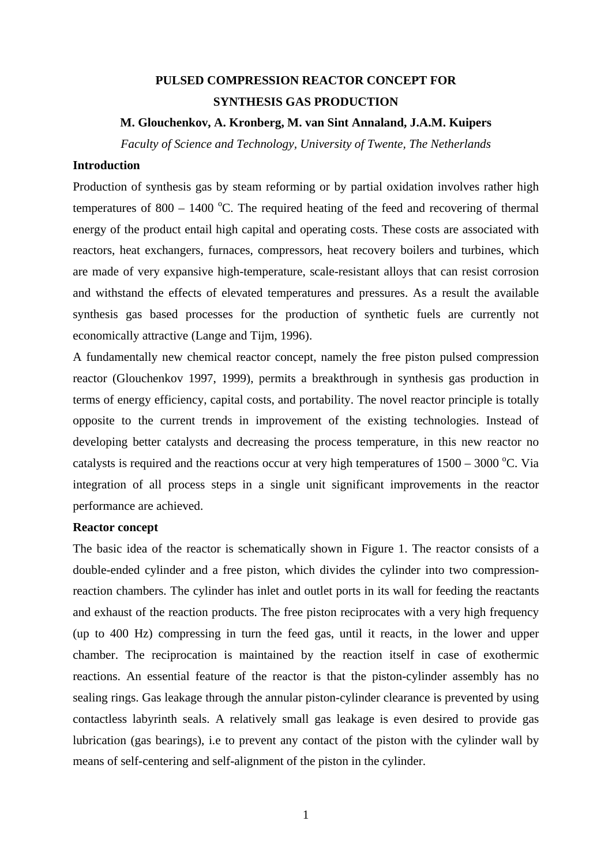# **PULSED COMPRESSION REACTOR CONCEPT FOR SYNTHESIS GAS PRODUCTION**

### **M. Glouchenkov, A. Kronberg, M. van Sint Annaland, J.A.M. Kuipers**

*Faculty of Science and Technology, University of Twente, The Netherlands* 

## **Introduction**

Production of synthesis gas by steam reforming or by partial oxidation involves rather high temperatures of  $800 - 1400$  °C. The required heating of the feed and recovering of thermal energy of the product entail high capital and operating costs. These costs are associated with reactors, heat exchangers, furnaces, compressors, heat recovery boilers and turbines, which are made of very expansive high-temperature, scale-resistant alloys that can resist corrosion and withstand the effects of elevated temperatures and pressures. As a result the available synthesis gas based processes for the production of synthetic fuels are currently not economically attractive (Lange and Tijm, 1996).

A fundamentally new chemical reactor concept, namely the free piston pulsed compression reactor (Glouchenkov 1997, 1999), permits a breakthrough in synthesis gas production in terms of energy efficiency, capital costs, and portability. The novel reactor principle is totally opposite to the current trends in improvement of the existing technologies. Instead of developing better catalysts and decreasing the process temperature, in this new reactor no catalysts is required and the reactions occur at very high temperatures of  $1500 - 3000$  °C. Via integration of all process steps in a single unit significant improvements in the reactor performance are achieved.

### **Reactor concept**

The basic idea of the reactor is schematically shown in Figure 1. The reactor consists of a double-ended cylinder and a free piston, which divides the cylinder into two compressionreaction chambers. The cylinder has inlet and outlet ports in its wall for feeding the reactants and exhaust of the reaction products. The free piston reciprocates with a very high frequency (up to 400 Hz) compressing in turn the feed gas, until it reacts, in the lower and upper chamber. The reciprocation is maintained by the reaction itself in case of exothermic reactions. An essential feature of the reactor is that the piston-cylinder assembly has no sealing rings. Gas leakage through the annular piston-cylinder clearance is prevented by using contactless labyrinth seals. A relatively small gas leakage is even desired to provide gas lubrication (gas bearings), i.e to prevent any contact of the piston with the cylinder wall by means of self-centering and self-alignment of the piston in the cylinder.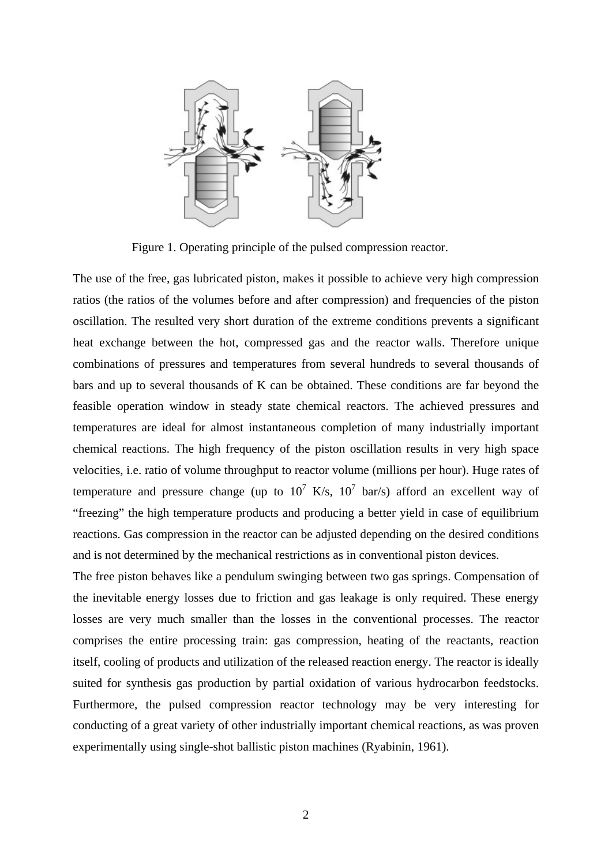

Figure 1. Operating principle of the pulsed compression reactor.

The use of the free, gas lubricated piston, makes it possible to achieve very high compression ratios (the ratios of the volumes before and after compression) and frequencies of the piston oscillation. The resulted very short duration of the extreme conditions prevents a significant heat exchange between the hot, compressed gas and the reactor walls. Therefore unique combinations of pressures and temperatures from several hundreds to several thousands of bars and up to several thousands of K can be obtained. These conditions are far beyond the feasible operation window in steady state chemical reactors. The achieved pressures and temperatures are ideal for almost instantaneous completion of many industrially important chemical reactions. The high frequency of the piston oscillation results in very high space velocities, i.e. ratio of volume throughput to reactor volume (millions per hour). Huge rates of temperature and pressure change (up to  $10^7$  K/s,  $10^7$  bar/s) afford an excellent way of "freezing" the high temperature products and producing a better yield in case of equilibrium reactions. Gas compression in the reactor can be adjusted depending on the desired conditions and is not determined by the mechanical restrictions as in conventional piston devices.

The free piston behaves like a pendulum swinging between two gas springs. Compensation of the inevitable energy losses due to friction and gas leakage is only required. These energy losses are very much smaller than the losses in the conventional processes. The reactor comprises the entire processing train: gas compression, heating of the reactants, reaction itself, cooling of products and utilization of the released reaction energy. The reactor is ideally suited for synthesis gas production by partial oxidation of various hydrocarbon feedstocks. Furthermore, the pulsed compression reactor technology may be very interesting for conducting of a great variety of other industrially important chemical reactions, as was proven experimentally using single-shot ballistic piston machines (Ryabinin, 1961).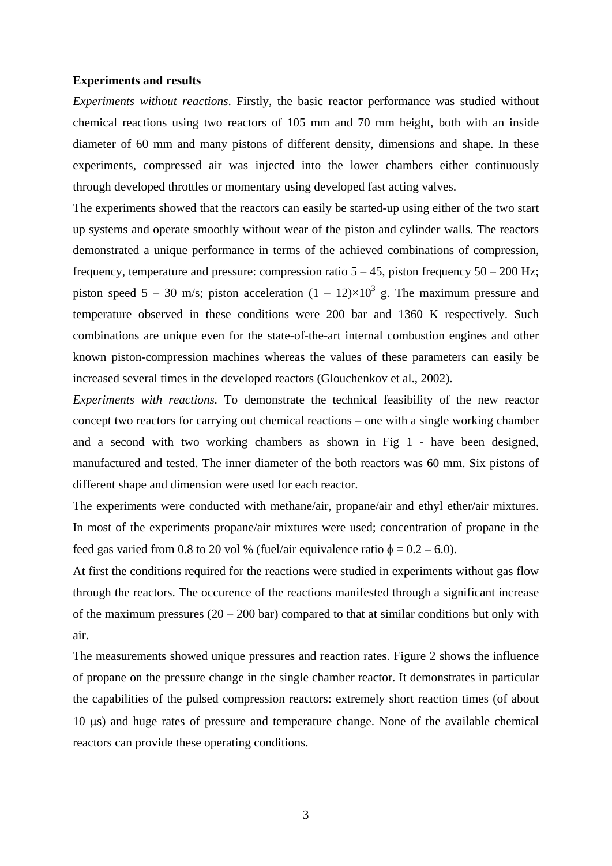#### **Experiments and results**

*Experiments without reactions*. Firstly, the basic reactor performance was studied without chemical reactions using two reactors of 105 mm and 70 mm height, both with an inside diameter of 60 mm and many pistons of different density, dimensions and shape. In these experiments, compressed air was injected into the lower chambers either continuously through developed throttles or momentary using developed fast acting valves.

The experiments showed that the reactors can easily be started-up using either of the two start up systems and operate smoothly without wear of the piston and cylinder walls. The reactors demonstrated a unique performance in terms of the achieved combinations of compression, frequency, temperature and pressure: compression ratio  $5 - 45$ , piston frequency  $50 - 200$  Hz; piston speed 5 – 30 m/s; piston acceleration  $(1 - 12) \times 10^3$  g. The maximum pressure and temperature observed in these conditions were 200 bar and 1360 K respectively. Such combinations are unique even for the state-of-the-art internal combustion engines and other known piston-compression machines whereas the values of these parameters can easily be increased several times in the developed reactors (Glouchenkov et al., 2002).

*Experiments with reactions.* To demonstrate the technical feasibility of the new reactor concept two reactors for carrying out chemical reactions – one with a single working chamber and a second with two working chambers as shown in Fig 1 - have been designed, manufactured and tested. The inner diameter of the both reactors was 60 mm. Six pistons of different shape and dimension were used for each reactor.

The experiments were conducted with methane/air, propane/air and ethyl ether/air mixtures. In most of the experiments propane/air mixtures were used; concentration of propane in the feed gas varied from 0.8 to 20 vol % (fuel/air equivalence ratio  $\phi = 0.2 - 6.0$ ).

At first the conditions required for the reactions were studied in experiments without gas flow through the reactors. The occurence of the reactions manifested through a significant increase of the maximum pressures  $(20 - 200 \text{ bar})$  compared to that at similar conditions but only with air.

The measurements showed unique pressures and reaction rates. Figure 2 shows the influence of propane on the pressure change in the single chamber reactor. It demonstrates in particular the capabilities of the pulsed compression reactors: extremely short reaction times (of about 10 μs) and huge rates of pressure and temperature change. None of the available chemical reactors can provide these operating conditions.